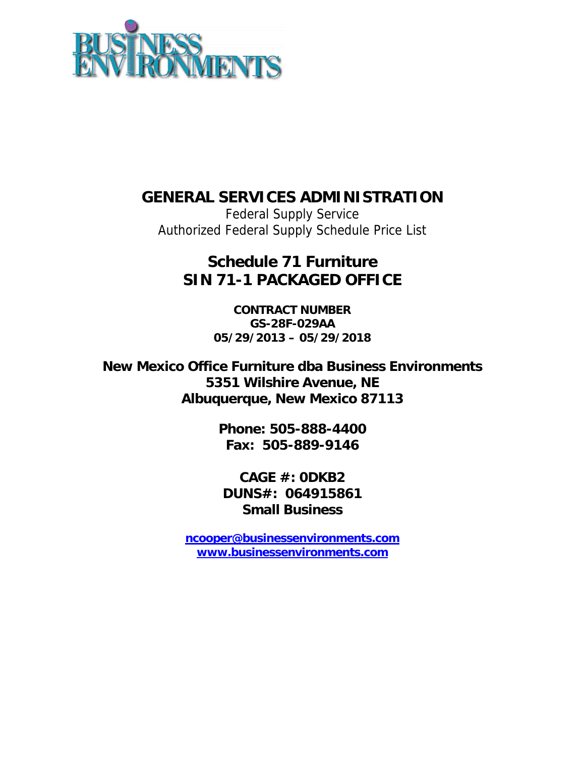

## **GENERAL SERVICES ADMINISTRATION**

Federal Supply Service Authorized Federal Supply Schedule Price List

# **Schedule 71 Furniture SIN 71-1 PACKAGED OFFICE**

**CONTRACT NUMBER GS-28F-029AA 05/29/2013 – 05/29/2018** 

**New Mexico Office Furniture dba Business Environments 5351 Wilshire Avenue, NE Albuquerque, New Mexico 87113** 

> **Phone: 505-888-4400 Fax: 505-889-9146**

**CAGE #: 0DKB2 DUNS#: 064915861 Small Business** 

**ncooper@businessenvironments.com www.businessenvironments.com**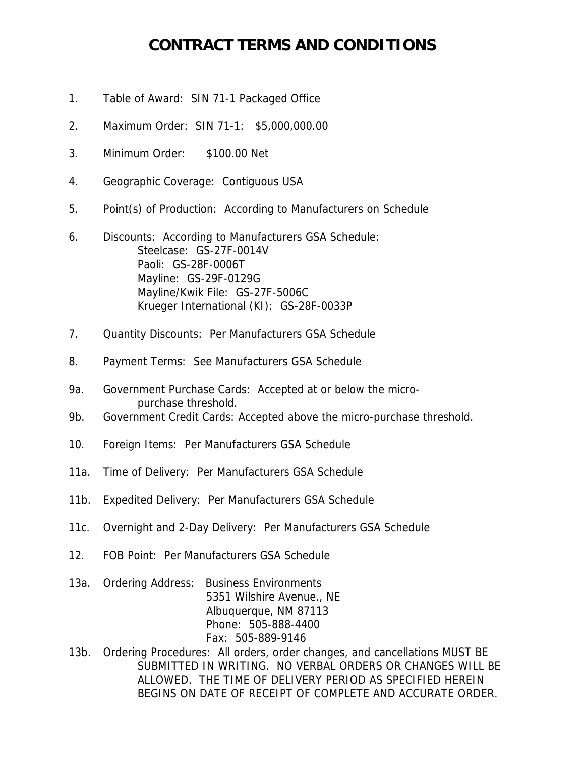### **CONTRACT TERMS AND CONDITIONS**

- 1. Table of Award: SIN 71-1 Packaged Office
- 2. Maximum Order: SIN 71-1: \$5,000,000.00
- 3. Minimum Order: \$100.00 Net
- 4. Geographic Coverage: Contiguous USA
- 5. Point(s) of Production: According to Manufacturers on Schedule
- 6. Discounts: According to Manufacturers GSA Schedule: Steelcase: GS-27F-0014V Paoli: GS-28F-0006T Mayline: GS-29F-0129G Mayline/Kwik File: GS-27F-5006C Krueger International (KI): GS-28F-0033P
- 7. Quantity Discounts: Per Manufacturers GSA Schedule
- 8. Payment Terms: See Manufacturers GSA Schedule
- 9a. Government Purchase Cards: Accepted at or below the micro purchase threshold.
- 9b. Government Credit Cards: Accepted above the micro-purchase threshold.
- 10. Foreign Items: Per Manufacturers GSA Schedule
- 11a. Time of Delivery: Per Manufacturers GSA Schedule
- 11b. Expedited Delivery: Per Manufacturers GSA Schedule
- 11c. Overnight and 2-Day Delivery: Per Manufacturers GSA Schedule
- 12. FOB Point: Per Manufacturers GSA Schedule
- 13a. Ordering Address: Business Environments 5351 Wilshire Avenue., NE Albuquerque, NM 87113 Phone: 505-888-4400 Fax: 505-889-9146
- 13b. Ordering Procedures: All orders, order changes, and cancellations MUST BE SUBMITTED IN WRITING. NO VERBAL ORDERS OR CHANGES WILL BE ALLOWED. THE TIME OF DELIVERY PERIOD AS SPECIFIED HEREIN BEGINS ON DATE OF RECEIPT OF COMPLETE AND ACCURATE ORDER.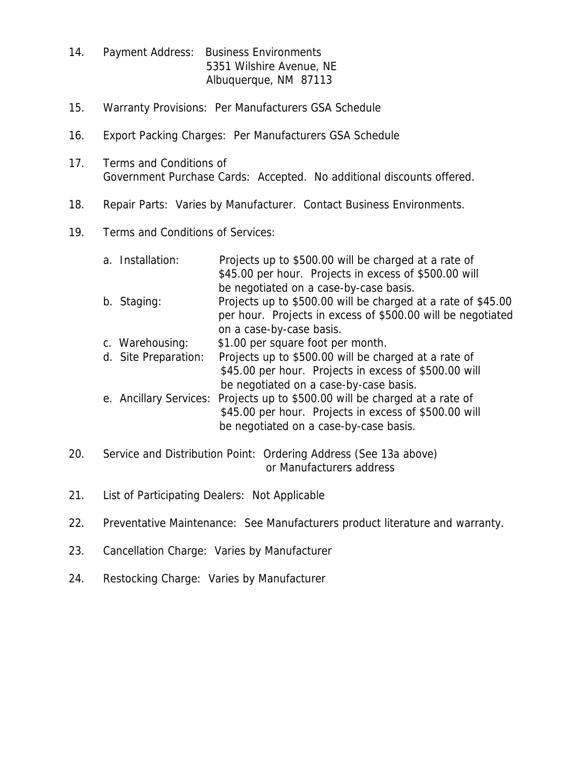- 14. Payment Address: Business Environments 5351 Wilshire Avenue, NE Albuquerque, NM 87113
- 15. Warranty Provisions: Per Manufacturers GSA Schedule
- 16. Export Packing Charges: Per Manufacturers GSA Schedule
- 17. Terms and Conditions of Government Purchase Cards: Accepted. No additional discounts offered.
- 18. Repair Parts: Varies by Manufacturer. Contact Business Environments.
- 19. Terms and Conditions of Services:
	- a. Installation: Projects up to \$500.00 will be charged at a rate of \$45.00 per hour. Projects in excess of \$500.00 will be negotiated on a case-by-case basis. b. Staging: Projects up to \$500.00 will be charged at a rate of \$45.00 per hour. Projects in excess of \$500.00 will be negotiated on a case-by-case basis. c. Warehousing: \$1.00 per square foot per month. d. Site Preparation: Projects up to \$500.00 will be charged at a rate of \$45.00 per hour. Projects in excess of \$500.00 will be negotiated on a case-by-case basis. e. Ancillary Services: Projects up to \$500.00 will be charged at a rate of \$45.00 per hour. Projects in excess of \$500.00 will

be negotiated on a case-by-case basis.

- 20. Service and Distribution Point: Ordering Address (See 13a above) or Manufacturers address
- 21. List of Participating Dealers: Not Applicable
- 22. Preventative Maintenance: See Manufacturers product literature and warranty.
- 23. Cancellation Charge: Varies by Manufacturer
- 24. Restocking Charge: Varies by Manufacturer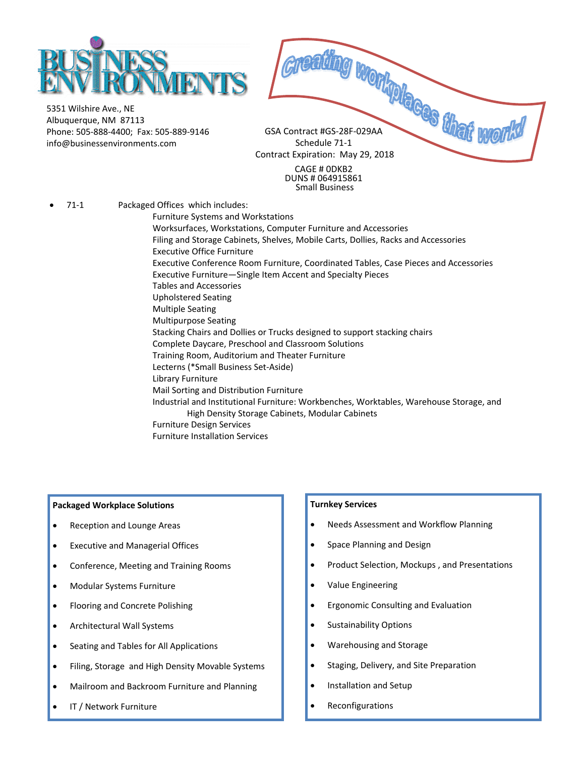

5351 Wilshire Ave., NE Albuquerque, NM 87113 Phone: 505‐888‐4400; Fax: 505‐889‐9146 info@businessenvironments.com

GSA Contract #GS‐28F‐029AA TREADING WORK OF THE CAR ON THE WORK Contract Expiration: May 29, 2018

CAGE # 0DKB2 DUNS # 064915861 Small Business

71-1 Packaged Offices which includes:

Furniture Systems and Workstations

 Worksurfaces, Workstations, Computer Furniture and Accessories Filing and Storage Cabinets, Shelves, Mobile Carts, Dollies, Racks and Accessories Executive Office Furniture Executive Conference Room Furniture, Coordinated Tables, Case Pieces and Accessories Executive Furniture—Single Item Accent and Specialty Pieces Tables and Accessories Upholstered Seating Multiple Seating Multipurpose Seating Stacking Chairs and Dollies or Trucks designed to support stacking chairs Complete Daycare, Preschool and Classroom Solutions Training Room, Auditorium and Theater Furniture Lecterns (\*Small Business Set‐Aside) Library Furniture Mail Sorting and Distribution Furniture Industrial and Institutional Furniture: Workbenches, Worktables, Warehouse Storage, and High Density Storage Cabinets, Modular Cabinets Furniture Design Services

#### Furniture Installation Services

#### **Packaged Workplace Solutions**

- Reception and Lounge Areas
- Executive and Managerial Offices
- Conference, Meeting and Training Rooms
- Modular Systems Furniture
- Flooring and Concrete Polishing
- Architectural Wall Systems
- Seating and Tables for All Applications
- Filing, Storage and High Density Movable Systems
- Mailroom and Backroom Furniture and Planning
- IT / Network Furniture

#### **Turnkey Services**

- Needs Assessment and Workflow Planning
- Space Planning and Design
- Product Selection, Mockups , and Presentations
- Value Engineering
- Ergonomic Consulting and Evaluation
- Sustainability Options
- Warehousing and Storage
- Staging, Delivery, and Site Preparation
- Installation and Setup
- Reconfigurations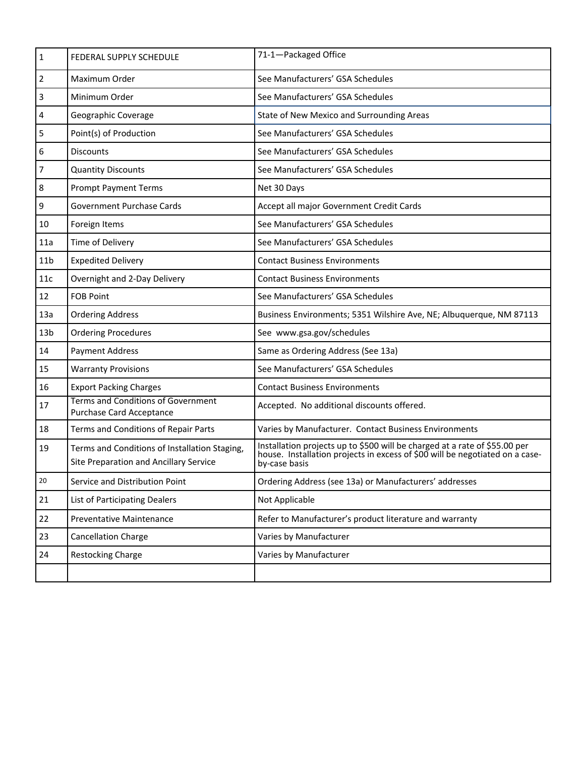| $\mathbf{1}$    | FEDERAL SUPPLY SCHEDULE                                                                 | 71-1-Packaged Office                                                                                                                                                        |
|-----------------|-----------------------------------------------------------------------------------------|-----------------------------------------------------------------------------------------------------------------------------------------------------------------------------|
| $\overline{2}$  | Maximum Order                                                                           | See Manufacturers' GSA Schedules                                                                                                                                            |
| 3               | Minimum Order                                                                           | See Manufacturers' GSA Schedules                                                                                                                                            |
| 4               | Geographic Coverage                                                                     | State of New Mexico and Surrounding Areas                                                                                                                                   |
| 5               | Point(s) of Production                                                                  | See Manufacturers' GSA Schedules                                                                                                                                            |
| 6               | <b>Discounts</b>                                                                        | See Manufacturers' GSA Schedules                                                                                                                                            |
| $\overline{7}$  | <b>Quantity Discounts</b>                                                               | See Manufacturers' GSA Schedules                                                                                                                                            |
| 8               | <b>Prompt Payment Terms</b>                                                             | Net 30 Days                                                                                                                                                                 |
| 9               | Government Purchase Cards                                                               | Accept all major Government Credit Cards                                                                                                                                    |
| 10              | Foreign Items                                                                           | See Manufacturers' GSA Schedules                                                                                                                                            |
| 11a             | Time of Delivery                                                                        | See Manufacturers' GSA Schedules                                                                                                                                            |
| 11 <sub>b</sub> | <b>Expedited Delivery</b>                                                               | <b>Contact Business Environments</b>                                                                                                                                        |
| 11c             | Overnight and 2-Day Delivery                                                            | <b>Contact Business Environments</b>                                                                                                                                        |
| 12              | <b>FOB Point</b>                                                                        | See Manufacturers' GSA Schedules                                                                                                                                            |
| 13a             | <b>Ordering Address</b>                                                                 | Business Environments; 5351 Wilshire Ave, NE; Albuquerque, NM 87113                                                                                                         |
| 13 <sub>b</sub> | <b>Ordering Procedures</b>                                                              | See www.gsa.gov/schedules                                                                                                                                                   |
| 14              | <b>Payment Address</b>                                                                  | Same as Ordering Address (See 13a)                                                                                                                                          |
| 15              | <b>Warranty Provisions</b>                                                              | See Manufacturers' GSA Schedules                                                                                                                                            |
| 16              | <b>Export Packing Charges</b>                                                           | <b>Contact Business Environments</b>                                                                                                                                        |
| 17              | <b>Terms and Conditions of Government</b><br>Purchase Card Acceptance                   | Accepted. No additional discounts offered.                                                                                                                                  |
| 18              | Terms and Conditions of Repair Parts                                                    | Varies by Manufacturer. Contact Business Environments                                                                                                                       |
| 19              | Terms and Conditions of Installation Staging,<br>Site Preparation and Ancillary Service | Installation projects up to \$500 will be charged at a rate of \$55.00 per<br>house. Installation projects in excess of \$00 will be negotiated on a case-<br>by-case basis |
| 20              | Service and Distribution Point                                                          | Ordering Address (see 13a) or Manufacturers' addresses                                                                                                                      |
| 21              | <b>List of Participating Dealers</b>                                                    | Not Applicable                                                                                                                                                              |
| 22              | Preventative Maintenance                                                                | Refer to Manufacturer's product literature and warranty                                                                                                                     |
| 23              | <b>Cancellation Charge</b>                                                              | Varies by Manufacturer                                                                                                                                                      |
| 24              | <b>Restocking Charge</b>                                                                | Varies by Manufacturer                                                                                                                                                      |
|                 |                                                                                         |                                                                                                                                                                             |